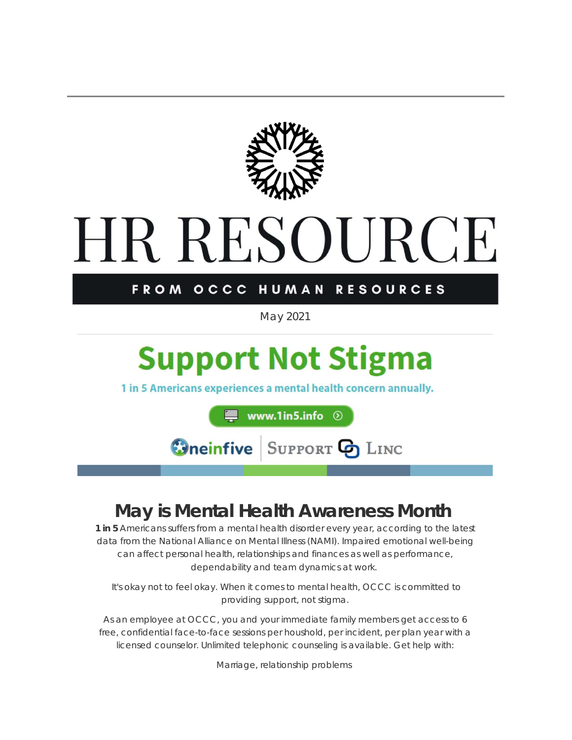

# **HR RESOURCE**

#### FROM OCCC HUMAN **RESOURCES**

*May 2021*

## **Support Not Stigma**

1 in 5 Americans experiences a mental health concern annually.

www.1in5.info  $\odot$ 

**Oneinfive SUPPORT & LINC** 

## **May is Mental Health Awareness Month**

**1 in 5** Americans suffers from a mental health disorder every year, according to the latest data from the National Alliance on Mental Illness (NAMI). Impaired emotional well-being can affect personal health, relationships and finances as well as performance, dependability and team dynamics at work.

It's okay not to feel okay. When it comes to mental health, OCCC is committed to providing support, not stigma.

As an employee at OCCC, you and your immediate family members get access to 6 free, confidential face-to-face sessions per houshold, per incident, per plan year with a licensed counselor. Unlimited telephonic counseling is available. Get help with:

Marriage, relationship problems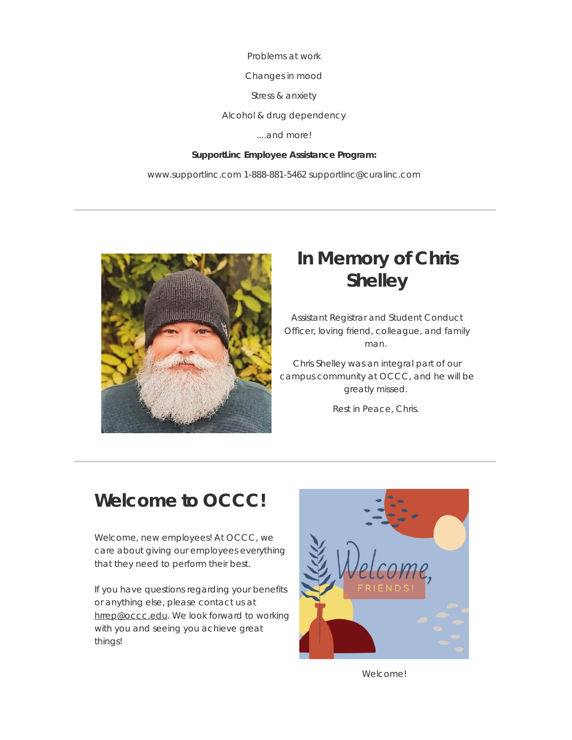Problems at work

Changes in mood

Stress & anxiety

Alcohol & drug dependency

....and more!

#### **SupportLinc Employee Assistance Program:**

www.supportlinc.com 1-888-881-5462 supportlinc@curalinc.com



## **In Memory of Chris Shelley**

Assistant Registrar and Student Conduct Officer, loving friend, colleague, and family man.

Chris Shelley was an integral part of our campus community at OCCC, and he will be greatly missed.

Rest in Peace, Chris.

## **Welcome to OCCC!**

Welcome, new employees! At OCCC, we care about giving our employees everything that they need to perform their best.

If you have questions regarding your benefits or anything else, please contact us at [hrrep@occc.edu](mailto:hrrep@occc.edu). We look forward to working with you and seeing you achieve great things!



Welcome!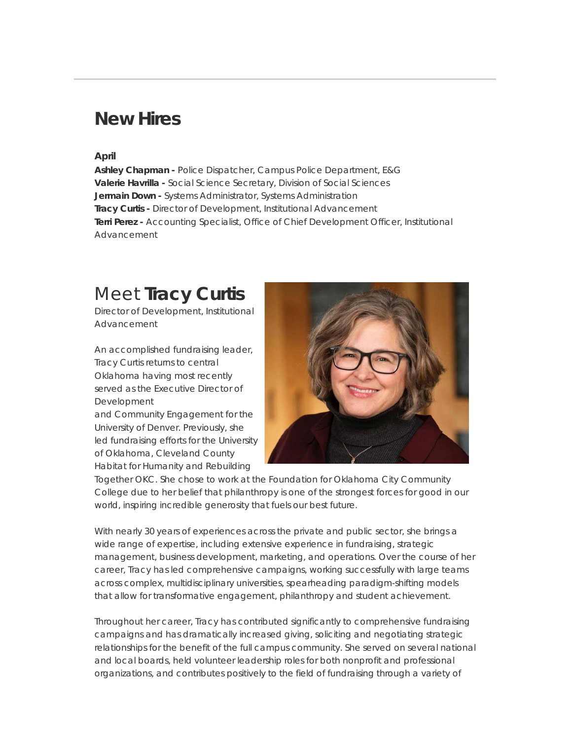## **New Hires**

#### **April**

**Ashley Chapman -** Police Dispatcher, Campus Police Department, E&G **Valerie Havrilla -** Social Science Secretary, Division of Social Sciences **Jermain Down -** Systems Administrator, Systems Administration **Tracy Curtis -** Director of Development, Institutional Advancement **Terri Perez -** Accounting Specialist, Office of Chief Development Officer, Institutional Advancement

## Meet **Tracy Curtis**

*Director of Development, Institutional Advancement*

An accomplished fundraising leader, Tracy Curtis returns to central Oklahoma having most recently served as the Executive Director of Development and Community Engagement for the

University of Denver. Previously, she led fundraising efforts for the University of Oklahoma, Cleveland County Habitat for Humanity and Rebuilding



Together OKC. She chose to work at the Foundation for Oklahoma City Community College due to her belief that philanthropy is one of the strongest forces for good in our world, inspiring incredible generosity that fuels our best future.

With nearly 30 years of experiences across the private and public sector, she brings a wide range of expertise, including extensive experience in fundraising, strategic management, business development, marketing, and operations. Over the course of her career, Tracy has led comprehensive campaigns, working successfully with large teams across complex, multidisciplinary universities, spearheading paradigm-shifting models that allow for transformative engagement, philanthropy and student achievement.

Throughout her career, Tracy has contributed significantly to comprehensive fundraising campaigns and has dramatically increased giving, soliciting and negotiating strategic relationships for the benefit of the full campus community. She served on several national and local boards, held volunteer leadership roles for both nonprofit and professional organizations, and contributes positively to the field of fundraising through a variety of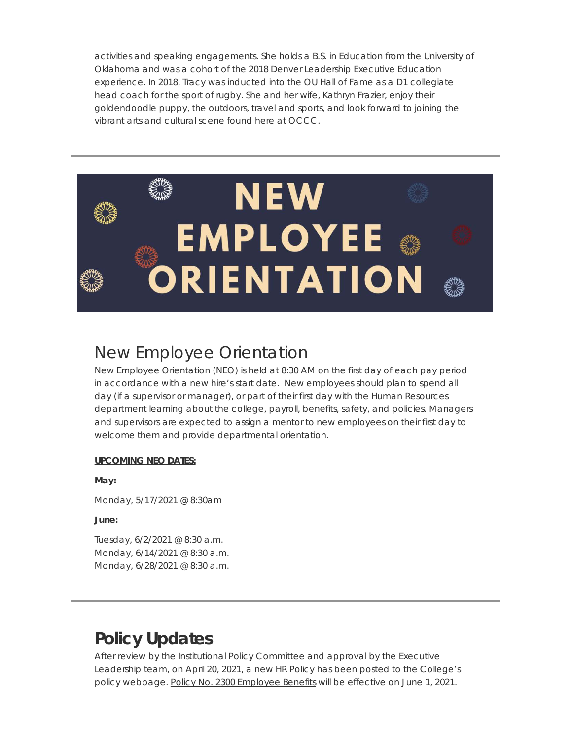activities and speaking engagements. She holds a B.S. in Education from the University of Oklahoma and was a cohort of the 2018 Denver Leadership Executive Education experience. In 2018, Tracy was inducted into the OU Hall of Fame as a D1 collegiate head coach for the sport of rugby. She and her wife, Kathryn Frazier, enjoy their goldendoodle puppy, the outdoors, travel and sports, and look forward to joining the vibrant arts and cultural scene found here at OCCC.



## New Employee Orientation

New Employee Orientation (NEO) is held at 8:30 AM on the first day of each pay period in accordance with a new hire's start date. New employees should plan to spend all day (if a supervisor or manager), or part of their first day with the Human Resources department learning about the college, payroll, benefits, safety, and policies. Managers and supervisors are expected to assign a mentor to new employees on their first day to welcome them and provide departmental orientation.

#### **UPCOMING NEO DATES:**

**May:**

Monday, 5/17/2021 @ 8:30am

**June:**

Tuesday, 6/2/2021 @ 8:30 a.m. Monday, 6/14/2021 @ 8:30 a.m. Monday, 6/28/2021 @ 8:30 a.m.

## **Policy Updates**

After review by the Institutional Policy Committee and approval by the Executive Leadership team, on April 20, 2021, a new HR Policy has been posted to the College's policy webpage. [Policy No. 2300 Employee Benefits](https://urldefense.proofpoint.com/v2/url?u=https-3A__t.e2ma.net_click_nvaccdc_zk66omk_3r62450d&d=DwMFaQ&c=ozaQIQjULwvu86-OCdkRYHRNoyiIvjO9RGA_WNqbchA&r=wYDEDTbXjZagJAVchFLwUQ&m=P5ZeeTiSHkE5F7vGp4FUb7MiaOoXNvFMU1krXCVOB68&s=TAjEAebVjvI2241EQ2egnygxfDX3GEWMFbw1OfAah5E&e=) will be effective on June 1, 2021.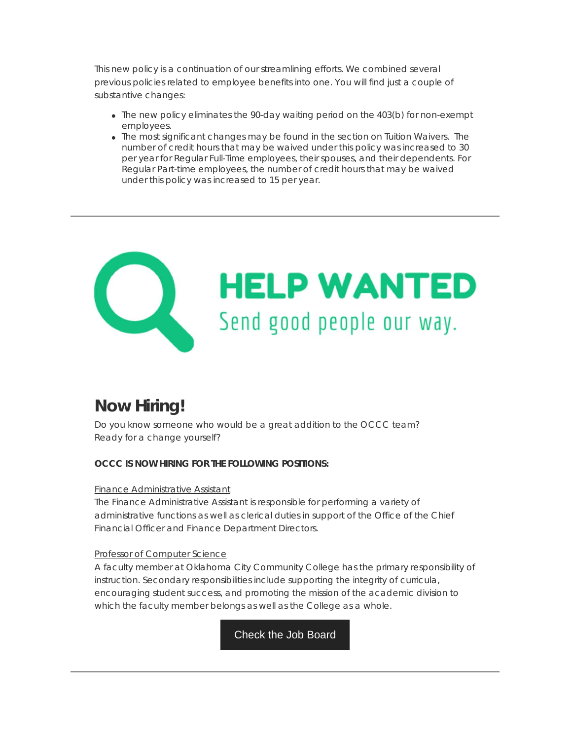This new policy is a continuation of our streamlining efforts. We combined several previous policies related to employee benefits into one. You will find just a couple of substantive changes:

- The new policy eliminates the 90-day waiting period on the 403(b) for non-exempt employees.
- The most significant changes may be found in the section on Tuition Waivers. The number of credit hours that may be waived under this policy was increased to 30 per year for Regular Full-Time employees, their spouses, and their dependents. For Regular Part-time employees, the number of credit hours that may be waived under this policy was increased to 15 per year.



## **Now Hiring!**

Do you know someone who would be a great addition to the OCCC team? Ready for a change yourself?

#### **OCCC IS NOW HIRING FOR THE FOLLOWING POSITIONS:**

#### [Finance Administrative Assistant](https://urldefense.proofpoint.com/v2/url?u=https-3A__t.e2ma.net_click_nvaccdc_zk66omk_jk72450d&d=DwMFaQ&c=ozaQIQjULwvu86-OCdkRYHRNoyiIvjO9RGA_WNqbchA&r=wYDEDTbXjZagJAVchFLwUQ&m=P5ZeeTiSHkE5F7vGp4FUb7MiaOoXNvFMU1krXCVOB68&s=9c65ogu9TqtHuCjMVV_8PE_ROC3DmhUX36pkGArA95Q&e=)

The Finance Administrative Assistant is responsible for performing a variety of administrative functions as well as clerical duties in support of the Office of the Chief Financial Officer and Finance Department Directors.

#### [Professor of Computer Science](https://urldefense.proofpoint.com/v2/url?u=https-3A__t.e2ma.net_click_nvaccdc_zk66omk_zc82450d&d=DwMFaQ&c=ozaQIQjULwvu86-OCdkRYHRNoyiIvjO9RGA_WNqbchA&r=wYDEDTbXjZagJAVchFLwUQ&m=P5ZeeTiSHkE5F7vGp4FUb7MiaOoXNvFMU1krXCVOB68&s=NmhHdtQ6TkGC-996iY7urSYAeoWVHh_p_GCwwTVqAfQ&e=)

A faculty member at Oklahoma City Community College has the primary responsibility of instruction. Secondary responsibilities include supporting the integrity of curricula, encouraging student success, and promoting the mission of the academic division to which the faculty member belongs as well as the College as a whole.

[Check the Job Board](https://urldefense.proofpoint.com/v2/url?u=https-3A__t.e2ma.net_click_nvaccdc_zk66omk_f582450d&d=DwMFaQ&c=ozaQIQjULwvu86-OCdkRYHRNoyiIvjO9RGA_WNqbchA&r=wYDEDTbXjZagJAVchFLwUQ&m=P5ZeeTiSHkE5F7vGp4FUb7MiaOoXNvFMU1krXCVOB68&s=L45ANpWgRYCKbKCQaRgUMA4_1kkJmYCYWaiKMeqF8-8&e=)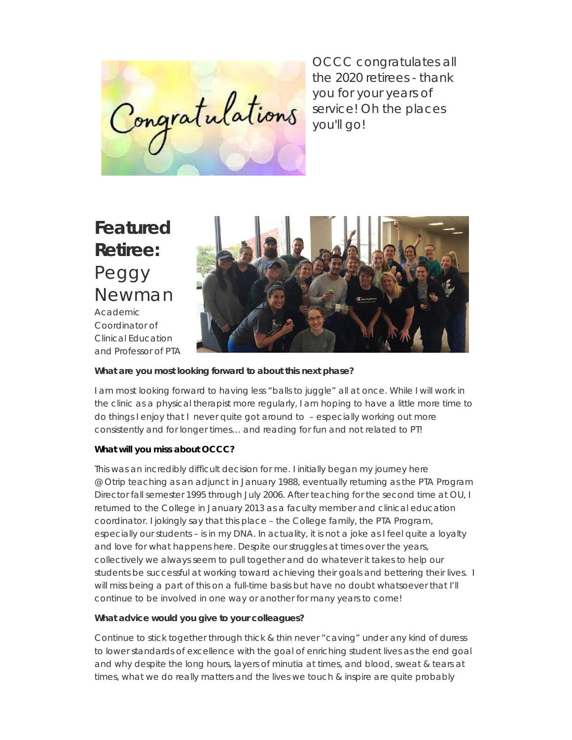Congratulations

OCCC congratulates all the 2020 retirees - thank you for your years of service! Oh the places you'll go!

## **Featured Retiree:** Peggy Newman Academic Coordinator of Clinical Education



#### **What are you most looking forward to about this next phase?**

I am most looking forward to having less "balls to juggle" all at once. While I will work in the clinic as a physical therapist more regularly, I am hoping to have a little more time to do things I enjoy that I never quite got around to – especially working out more consistently and for longer times… and reading for fun and not related to PT!

#### **What will you miss about OCCC?**

This was an incredibly difficult decision for me. I initially began my journey here @ Otrip teaching as an adjunct in January 1988, eventually returning as the PTA Program Director fall semester 1995 through July 2006. After teaching for the second time at OU, I returned to the College in January 2013 as a faculty member and clinical education coordinator. I jokingly say that this place – the College family, the PTA Program, especially our students – is in my DNA. In actuality, it is not a joke as I feel quite a loyalty and love for what happens here. Despite our struggles at times over the years, collectively we always seem to pull together and do whatever it takes to help our students be successful at working toward achieving their goals and bettering their lives. I will miss being a part of this on a full-time basis but have no doubt whatsoever that I'll continue to be involved in one way or another for many years to come!

#### **What advice would you give to your colleagues?**

Continue to stick together through thick & thin never "caving" under any kind of duress to lower standards of excellence with the goal of enriching student lives as the end goal and why despite the long hours, layers of minutia at times, and blood, sweat & tears at times, what we do really matters and the lives we touch & inspire are quite probably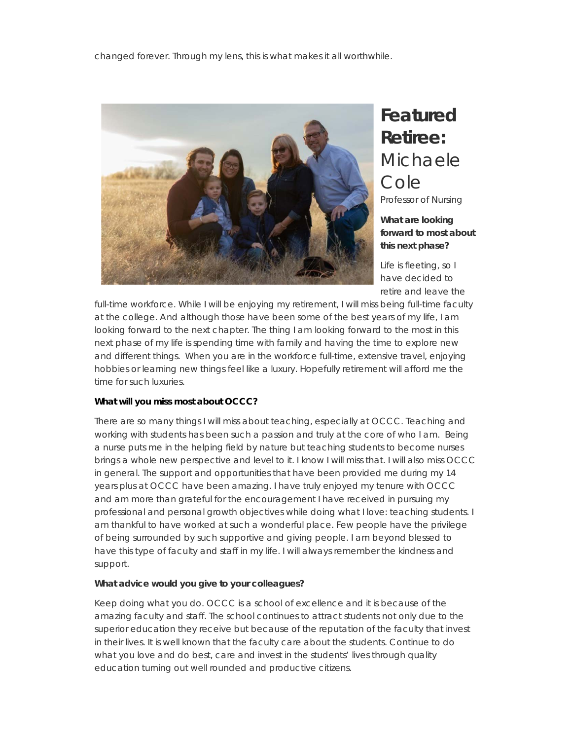

## **Featured Retiree:** Michaele Cole

Professor of Nursing

#### **What are looking forward to most about this next phase?**

Life is fleeting, so I have decided to retire and leave the

full-time workforce. While I will be enjoying my retirement, I will miss being full-time faculty at the college. And although those have been some of the best years of my life, I am looking forward to the next chapter. The thing I am looking forward to the most in this next phase of my life is spending time with family and having the time to explore new and different things. When you are in the workforce full-time, extensive travel, enjoying hobbies or learning new things feel like a luxury. Hopefully retirement will afford me the time for such luxuries.

#### **What will you miss most about OCCC?**

There are so many things I will miss about teaching, especially at OCCC. Teaching and working with students has been such a passion and truly at the core of who I am. Being a nurse puts me in the helping field by nature but teaching students to become nurses brings a whole new perspective and level to it. I know I will miss that. I will also miss OCCC in general. The support and opportunities that have been provided me during my 14 years plus at OCCC have been amazing. I have truly enjoyed my tenure with OCCC and am more than grateful for the encouragement I have received in pursuing my professional and personal growth objectives while doing what I love: teaching students. I am thankful to have worked at such a wonderful place. Few people have the privilege of being surrounded by such supportive and giving people. I am beyond blessed to have this type of faculty and staff in my life. I will always remember the kindness and support.

#### **What advice would you give to your colleagues?**

Keep doing what you do. OCCC is a school of excellence and it is because of the amazing faculty and staff. The school continues to attract students not only due to the superior education they receive but because of the reputation of the faculty that invest in their lives. It is well known that the faculty care about the students. Continue to do what you love and do best, care and invest in the students' lives through quality education turning out well rounded and productive citizens.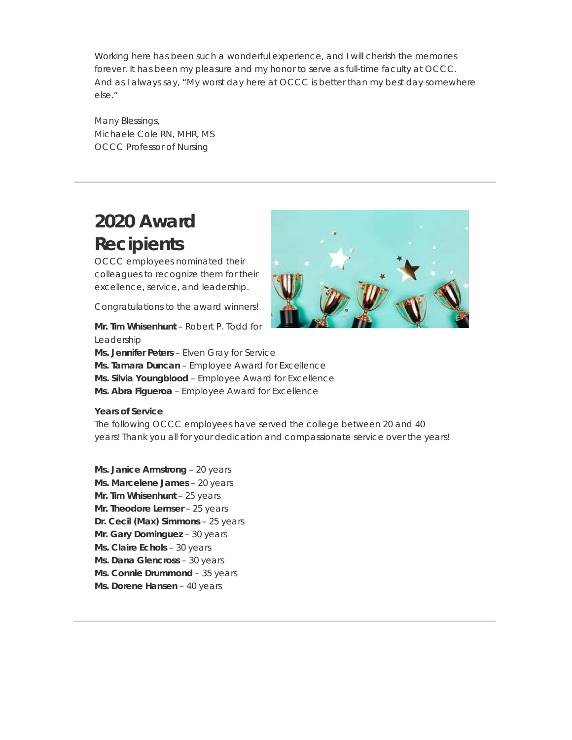Working here has been such a wonderful experience, and I will cherish the memories forever. It has been my pleasure and my honor to serve as full-time faculty at OCCC. And as I always say, "My worst day here at OCCC is better than my best day somewhere else."

Many Blessings, Michaele Cole RN, MHR, MS OCCC Professor of Nursing

## **2020 Award Recipients**

OCCC employees nominated their colleagues to recognize them for their excellence, service, and leadership.

Congratulations to the award winners!

**Mr. Tim Whisenhunt** – Robert P. Todd for Leadership

**Ms. Jennifer Peters** – Elven Gray for Service

**Ms. Tamara Duncan** – Employee Award for Excellence

**Ms. Silvia Youngblood** – Employee Award for Excellence

**Ms. Abra Figueroa** – Employee Award for Excellence

#### **Years of Service**

The following OCCC employees have served the college between 20 and 40 years! Thank you all for your dedication and compassionate service over the years!

**Ms. Janice Armstrong** – 20 years **Ms. Marcelene James** – 20 years **Mr. Tim Whisenhunt** – 25 years **Mr. Theodore Lemser** – 25 years **Dr. Cecil (Max) Simmons** – 25 years **Mr. Gary Dominguez** – 30 years **Ms. Claire Echols** – 30 years **Ms. Dana Glencross** – 30 years **Ms. Connie Drummond** – 35 years **Ms. Dorene Hansen** – 40 years

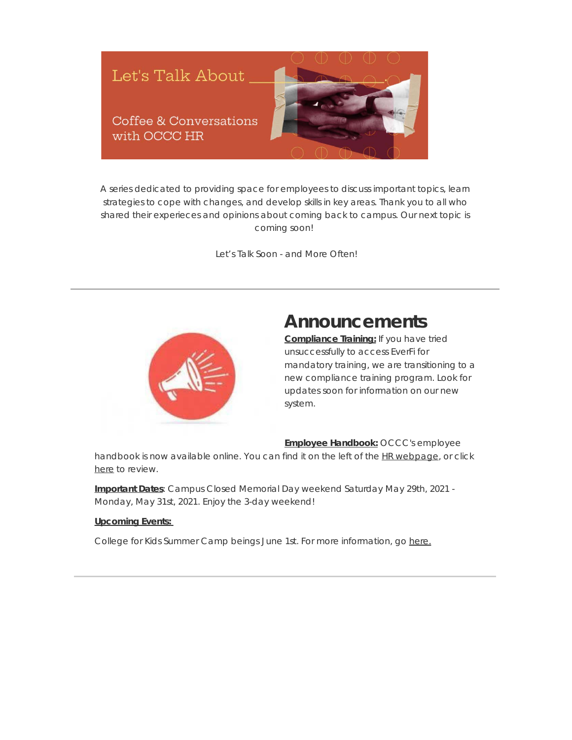

A series dedicated to providing space for employees to discuss important topics, learn strategies to cope with changes, and develop skills in key areas. Thank you to all who shared their experieces and opinions about coming back to campus. Our next topic is coming soon!

*Let's Talk Soon - and More Often!*



## **Announcements**

**Compliance Training:** If you have tried unsuccessfully to access EverFi for mandatory training, we are transitioning to a new compliance training program. Look for updates soon for information on our new system.

#### **Employee Handbook:** OCCC's employee

handbook is now available online. You can find it on the left of the [HR webpage](https://urldefense.proofpoint.com/v2/url?u=https-3A__t.e2ma.net_click_nvaccdc_zk66omk_vx92450d&d=DwMFaQ&c=ozaQIQjULwvu86-OCdkRYHRNoyiIvjO9RGA_WNqbchA&r=wYDEDTbXjZagJAVchFLwUQ&m=P5ZeeTiSHkE5F7vGp4FUb7MiaOoXNvFMU1krXCVOB68&s=EWEBoH0livf91_8H37xZ2R0IFPsWD_uROqcnEOM6XPE&e=), or click [here](https://urldefense.proofpoint.com/v2/url?u=https-3A__t.e2ma.net_click_nvaccdc_zk66omk_bqa3450d&d=DwMFaQ&c=ozaQIQjULwvu86-OCdkRYHRNoyiIvjO9RGA_WNqbchA&r=wYDEDTbXjZagJAVchFLwUQ&m=P5ZeeTiSHkE5F7vGp4FUb7MiaOoXNvFMU1krXCVOB68&s=HUS23hjc_D2-Bi7ad3D0t5enkuBLhVc-IbqXcgvGuYI&e=) to review.

**Important Dates**: Campus Closed Memorial Day weekend Saturday May 29th, 2021 - Monday, May 31st, 2021. Enjoy the 3-day weekend!

#### **Upcoming Events:**

College for Kids Summer Camp beings June 1st. For more information, go [here.](https://urldefense.proofpoint.com/v2/url?u=https-3A__t.e2ma.net_click_nvaccdc_zk66omk_rib3450d&d=DwMFaQ&c=ozaQIQjULwvu86-OCdkRYHRNoyiIvjO9RGA_WNqbchA&r=wYDEDTbXjZagJAVchFLwUQ&m=P5ZeeTiSHkE5F7vGp4FUb7MiaOoXNvFMU1krXCVOB68&s=eJRIjx-yhME-ek_IeKAPOy_qbxHqAzwh4p-rHBc71J4&e=)